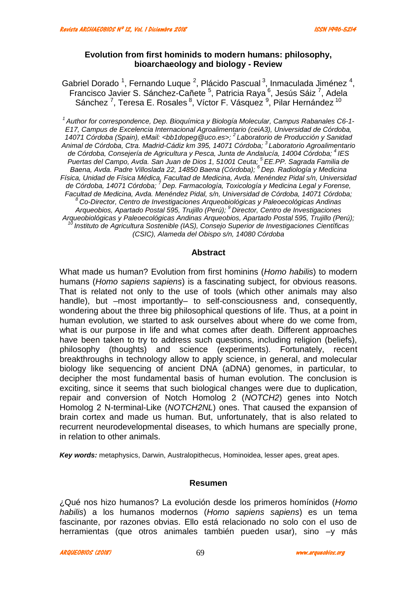# **Evolution from first hominids to modern humans: philosophy, bioarchaeology and biology - Review**

Gabriel Dorado <sup>1</sup>, Fernando Luque <sup>2</sup>, Plácido Pascual <sup>3</sup>, Inmaculada Jiménez <sup>4</sup>, Francisco Javier S. Sánchez-Cañete <sup>5</sup>, Patricia Raya <sup>6</sup>, Jesús Sáiz <sup>7</sup>, Adela Sánchez <sup>7</sup>, Teresa E. Rosales <sup>8</sup>, Víctor F. Vásquez <sup>9</sup>, Pilar Hernández <sup>10</sup>

*<sup>1</sup> Author for correspondence, Dep. Bioquímica y Biología Molecular, Campus Rabanales C6-1- E17, Campus de Excelencia Internacional Agroalimentario (ceiA3), Universidad de Córdoba, 14071 Córdoba (Spain), eMail: <bb1dopeg@uco.es>; <sup>2</sup> Laboratorio de Producción y Sanidad Animal de Córdoba, Ctra. Madrid-Cádiz km 395, 14071 Córdoba; <sup>3</sup> Laboratorio Agroalimentario de Córdoba, Consejería de Agricultura y Pesca, Junta de Andalucía, 14004 Córdoba; <sup>4</sup> IES Puertas del Campo, Avda. San Juan de Dios 1, 51001 Ceuta; <sup>5</sup> EE.PP. Sagrada Familia de Baena, Avda. Padre Villoslada 22, 14850 Baena (Córdoba); <sup>6</sup> Dep. Radiología y Medicina Física, Unidad de Física Médica, Facultad de Medicina, Avda. Menéndez Pidal s/n, Universidad de Córdoba, 14071 Córdoba; <sup>7</sup> Dep. Farmacología, Toxicología y Medicina Legal y Forense, Facultad de Medicina, Avda. Menéndez Pidal, s/n, Universidad de Córdoba, 14071 Córdoba; <sup>8</sup> Co-Director, Centro de Investigaciones Arqueobiológicas y Paleoecológicas Andinas Arqueobios, Apartado Postal 595, Trujillo (Perú); <sup>9</sup> Director, Centro de Investigaciones Arqueobiológicas y Paleoecológicas Andinas Arqueobios, Apartado Postal 595, Trujillo (Perú); <sup>10</sup> Instituto de Agricultura Sostenible (IAS), Consejo Superior de Investigaciones Científicas (CSIC), Alameda del Obispo s/n, 14080 Córdoba*

#### **Abstract**

What made us human? Evolution from first hominins (*Homo habilis*) to modern humans (*Homo sapiens sapiens*) is a fascinating subject, for obvious reasons. That is related not only to the use of tools (which other animals may also handle), but –most importantly– to self-consciousness and, consequently, wondering about the three big philosophical questions of life. Thus, at a point in human evolution, we started to ask ourselves about where do we come from, what is our purpose in life and what comes after death. Different approaches have been taken to try to address such questions, including religion (beliefs), philosophy (thoughts) and science (experiments). Fortunately, recent breakthroughs in technology allow to apply science, in general, and molecular biology like sequencing of ancient DNA (aDNA) genomes, in particular, to decipher the most fundamental basis of human evolution. The conclusion is exciting, since it seems that such biological changes were due to duplication, repair and conversion of Notch Homolog 2 (*NOTCH2*) genes into Notch Homolog 2 N-terminal-Like (*NOTCH2NL*) ones. That caused the expansion of brain cortex and made us human. But, unfortunately, that is also related to recurrent neurodevelopmental diseases, to which humans are specially prone, in relation to other animals.

*Key words:* metaphysics, Darwin, Australopithecus, Hominoidea, lesser apes, great apes.

## **Resumen**

¿Qué nos hizo humanos? La evolución desde los primeros homínidos (*Homo habilis*) a los humanos modernos (*Homo sapiens sapiens*) es un tema fascinante, por razones obvias. Ello está relacionado no solo con el uso de herramientas (que otros animales también pueden usar), sino –y más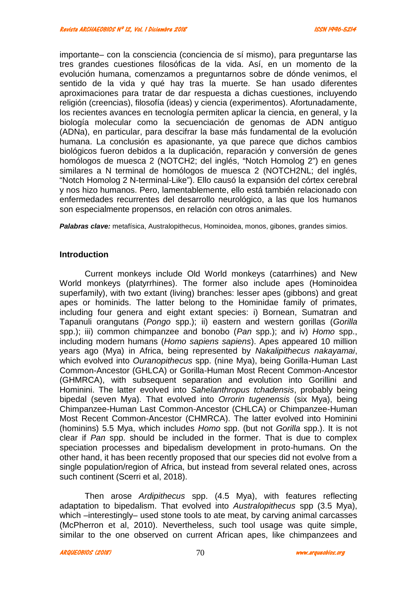importante– con la consciencia (conciencia de sí mismo), para preguntarse las tres grandes cuestiones filosóficas de la vida. Así, en un momento de la evolución humana, comenzamos a preguntarnos sobre de dónde venimos, el sentido de la vida y qué hay tras la muerte. Se han usado diferentes aproximaciones para tratar de dar respuesta a dichas cuestiones, incluyendo religión (creencias), filosofía (ideas) y ciencia (experimentos). Afortunadamente, los recientes avances en tecnología permiten aplicar la ciencia, en general, y la biología molecular como la secuenciación de genomas de ADN antiguo (ADNa), en particular, para descifrar la base más fundamental de la evolución humana. La conclusión es apasionante, ya que parece que dichos cambios biológicos fueron debidos a la duplicación, reparación y conversión de genes homólogos de muesca 2 (NOTCH2; del inglés, "Notch Homolog 2") en genes similares a N terminal de homólogos de muesca 2 (NOTCH2NL; del inglés, "Notch Homolog 2 N-terminal-Like"). Ello causó la expansión del córtex cerebral y nos hizo humanos. Pero, lamentablemente, ello está también relacionado con enfermedades recurrentes del desarrollo neurológico, a las que los humanos son especialmente propensos, en relación con otros animales.

*Palabras clave:* metafísica, Australopithecus, Hominoidea, monos, gibones, grandes simios.

## **Introduction**

Current monkeys include Old World monkeys (catarrhines) and New World monkeys (platyrrhines). The former also include apes (Hominoidea superfamily), with two extant (living) branches: lesser apes (gibbons) and great apes or hominids. The latter belong to the Hominidae family of primates, including four genera and eight extant species: i) Bornean, Sumatran and Tapanuli orangutans (*Pongo* spp.); ii) eastern and western gorillas (*Gorilla* spp.); iii) common chimpanzee and bonobo (*Pan* spp.); and iv) *Homo* spp., including modern humans (*Homo sapiens sapiens*). Apes appeared 10 million years ago (Mya) in Africa, being represented by *Nakalipithecus nakayamai*, which evolved into *Ouranopithecus* spp. (nine Mya), being Gorilla-Human Last Common-Ancestor (GHLCA) or Gorilla-Human Most Recent Common-Ancestor (GHMRCA), with subsequent separation and evolution into Gorillini and Hominini. The latter evolved into *Sahelanthropus tchadensis*, probably being bipedal (seven Mya). That evolved into *Orrorin tugenensis* (six Mya), being Chimpanzee-Human Last Common-Ancestor (CHLCA) or Chimpanzee-Human Most Recent Common-Ancestor (CHMRCA). The latter evolved into Hominini (hominins) 5.5 Mya, which includes *Homo* spp. (but not *Gorilla* spp.). It is not clear if *Pan* spp. should be included in the former. That is due to complex speciation processes and bipedalism development in proto-humans. On the other hand, it has been recently proposed that our species did not evolve from a single population/region of Africa, but instead from several related ones, across such continent (Scerri et al, 2018).

Then arose *Ardipithecus* spp. (4.5 Mya), with features reflecting adaptation to bipedalism. That evolved into *Australopithecus* spp (3.5 Mya), which –interestingly– used stone tools to ate meat, by carving animal carcasses (McPherron et al, 2010). Nevertheless, such tool usage was quite simple, similar to the one observed on current African apes, like chimpanzees and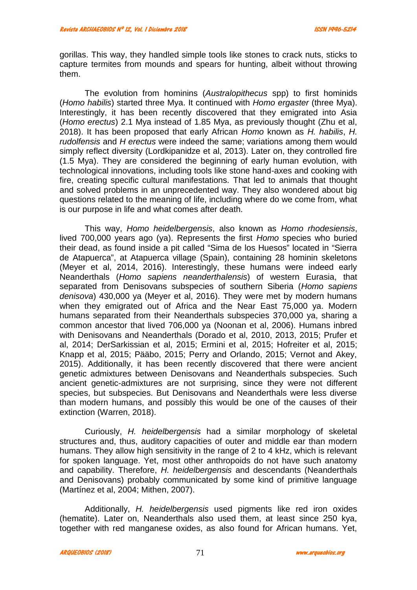gorillas. This way, they handled simple tools like stones to crack nuts, sticks to capture termites from mounds and spears for hunting, albeit without throwing them.

The evolution from hominins (*Australopithecus* spp) to first hominids (*Homo habilis*) started three Mya. It continued with *Homo ergaster* (three Mya). Interestingly, it has been recently discovered that they emigrated into Asia (*Homo erectus*) 2.1 Mya instead of 1.85 Mya, as previously thought (Zhu et al, 2018). It has been proposed that early African *Homo* known as *H. habilis*, *H. rudolfensis* and *H erectus* were indeed the same; variations among them would simply reflect diversity (Lordkipanidze et al, 2013). Later on, they controlled fire (1.5 Mya). They are considered the beginning of early human evolution, with technological innovations, including tools like stone hand-axes and cooking with fire, creating specific cultural manifestations. That led to animals that thought and solved problems in an unprecedented way. They also wondered about big questions related to the meaning of life, including where do we come from, what is our purpose in life and what comes after death.

This way, *Homo heidelbergensis*, also known as *Homo rhodesiensis*, lived 700,000 years ago (ya). Represents the first *Homo* species who buried their dead, as found inside a pit called "Sima de los Huesos" located in "Sierra de Atapuerca", at Atapuerca village (Spain), containing 28 hominin skeletons (Meyer et al, 2014, 2016). Interestingly, these humans were indeed early Neanderthals (*Homo sapiens neanderthalensis*) of western Eurasia, that separated from Denisovans subspecies of southern Siberia (*Homo sapiens denisova*) 430,000 ya (Meyer et al, 2016). They were met by modern humans when they emigrated out of Africa and the Near East 75,000 ya. Modern humans separated from their Neanderthals subspecies 370,000 ya, sharing a common ancestor that lived 706,000 ya (Noonan et al, 2006). Humans inbred with Denisovans and Neanderthals (Dorado et al, 2010, 2013, 2015; Prufer et al, 2014; DerSarkissian et al, 2015; Ermini et al, 2015; Hofreiter et al, 2015; Knapp et al, 2015; Pääbo, 2015; Perry and Orlando, 2015; Vernot and Akey, 2015). Additionally, it has been recently discovered that there were ancient genetic admixtures between Denisovans and Neanderthals subspecies. Such ancient genetic-admixtures are not surprising, since they were not different species, but subspecies. But Denisovans and Neanderthals were less diverse than modern humans, and possibly this would be one of the causes of their extinction (Warren, 2018).

Curiously, *H. heidelbergensis* had a similar morphology of skeletal structures and, thus, auditory capacities of outer and middle ear than modern humans. They allow high sensitivity in the range of 2 to 4 kHz, which is relevant for spoken language. Yet, most other anthropoids do not have such anatomy and capability. Therefore, *H. heidelbergensis* and descendants (Neanderthals and Denisovans) probably communicated by some kind of primitive language (Martínez et al, 2004; Mithen, 2007).

Additionally, *H. heidelbergensis* used pigments like red iron oxides (hematite). Later on, Neanderthals also used them, at least since 250 kya, together with red manganese oxides, as also found for African humans. Yet,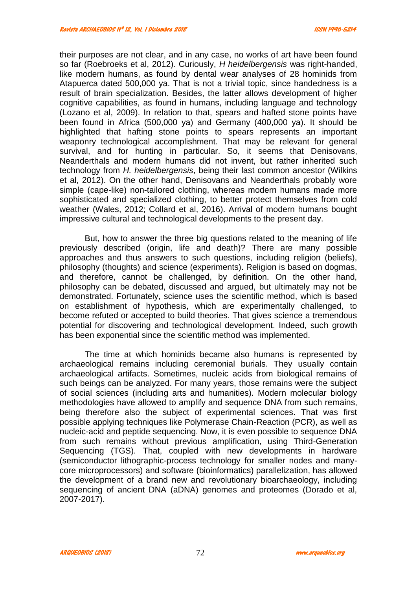their purposes are not clear, and in any case, no works of art have been found so far (Roebroeks et al, 2012). Curiously, *H heidelbergensis* was right-handed, like modern humans, as found by dental wear analyses of 28 hominids from Atapuerca dated 500,000 ya. That is not a trivial topic, since handedness is a result of brain specialization. Besides, the latter allows development of higher cognitive capabilities, as found in humans, including language and technology (Lozano et al, 2009). In relation to that, spears and hafted stone points have been found in Africa (500,000 ya) and Germany (400,000 ya). It should be highlighted that hafting stone points to spears represents an important weaponry technological accomplishment. That may be relevant for general survival, and for hunting in particular. So, it seems that Denisovans, Neanderthals and modern humans did not invent, but rather inherited such technology from *H. heidelbergensis*, being their last common ancestor (Wilkins et al, 2012). On the other hand, Denisovans and Neanderthals probably wore simple (cape-like) non-tailored clothing, whereas modern humans made more sophisticated and specialized clothing, to better protect themselves from cold weather (Wales, 2012; Collard et al, 2016). Arrival of modern humans bought impressive cultural and technological developments to the present day.

But, how to answer the three big questions related to the meaning of life previously described (origin, life and death)? There are many possible approaches and thus answers to such questions, including religion (beliefs), philosophy (thoughts) and science (experiments). Religion is based on dogmas, and therefore, cannot be challenged, by definition. On the other hand, philosophy can be debated, discussed and argued, but ultimately may not be demonstrated. Fortunately, science uses the scientific method, which is based on establishment of hypothesis, which are experimentally challenged, to become refuted or accepted to build theories. That gives science a tremendous potential for discovering and technological development. Indeed, such growth has been exponential since the scientific method was implemented.

The time at which hominids became also humans is represented by archaeological remains including ceremonial burials. They usually contain archaeological artifacts. Sometimes, nucleic acids from biological remains of such beings can be analyzed. For many years, those remains were the subject of social sciences (including arts and humanities). Modern molecular biology methodologies have allowed to amplify and sequence DNA from such remains, being therefore also the subject of experimental sciences. That was first possible applying techniques like Polymerase Chain-Reaction (PCR), as well as nucleic-acid and peptide sequencing. Now, it is even possible to sequence DNA from such remains without previous amplification, using Third-Generation Sequencing (TGS). That, coupled with new developments in hardware (semiconductor lithographic-process technology for smaller nodes and many core microprocessors) and software (bioinformatics) parallelization, has allowed the development of a brand new and revolutionary bioarchaeology, including sequencing of ancient DNA (aDNA) genomes and proteomes (Dorado et al, 2007-2017).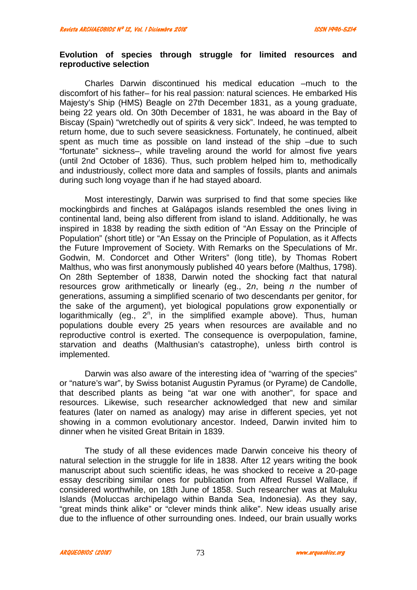## **Evolution of species through struggle for limited resources and reproductive selection**

Charles Darwin discontinued his medical education –much to the discomfort of his father– for his real passion: natural sciences. He embarked His Majesty's Ship (HMS) Beagle on 27th December 1831, as a young graduate, being 22 years old. On 30th December of 1831, he was aboard in the Bay of Biscay (Spain) "wretchedly out of spirits & very sick". Indeed, he was tempted to return home, due to such severe seasickness. Fortunately, he continued, albeit spent as much time as possible on land instead of the ship –due to such "fortunate" sickness–, while traveling around the world for almost five years (until 2nd October of 1836). Thus, such problem helped him to, methodically and industriously, collect more data and samples of fossils, plants and animals during such long voyage than if he had stayed aboard.

Most interestingly, Darwin was surprised to find that some species like mockingbirds and finches at Galápagos islands resembled the ones living in continental land, being also different from island to island. Additionally, he was inspired in 1838 by reading the sixth edition of "An Essay on the Principle of Population" (short title) or "An Essay on the Principle of Population, as it Affects the Future Improvement of Society. With Remarks on the Speculations of Mr. Godwin, M. Condorcet and Other Writers" (long title), by Thomas Robert Malthus, who was first anonymously published 40 years before (Malthus, 1798). On 28th September of 1838, Darwin noted the shocking fact that natural resources grow arithmetically or linearly (eg., 2*n*, being *n* the number of generations, assuming a simplified scenario of two descendants per genitor, for the sake of the argument), yet biological populations grow exponentially or logarithmically (eg., 2<sup>n</sup>, in the simplified example above). Thus, human populations double every 25 years when resources are available and no reproductive control is exerted. The consequence is overpopulation, famine, starvation and deaths (Malthusian's catastrophe), unless birth control is implemented.

Darwin was also aware of the interesting idea of "warring of the species" or "nature's war", by Swiss botanist Augustin Pyramus (or Pyrame) de Candolle, that described plants as being "at war one with another", for space and resources. Likewise, such researcher acknowledged that new and similar features (later on named as analogy) may arise in different species, yet not showing in a common evolutionary ancestor. Indeed, Darwin invited him to dinner when he visited Great Britain in 1839.

The study of all these evidences made Darwin conceive his theory of natural selection in the struggle for life in 1838. After 12 years writing the book manuscript about such scientific ideas, he was shocked to receive a 20-page essay describing similar ones for publication from Alfred Russel Wallace, if considered worthwhile, on 18th June of 1858. Such researcher was at Maluku Islands (Moluccas archipelago within Banda Sea, Indonesia). As they say, "great minds think alike" or "clever minds think alike". New ideas usually arise due to the influence of other surrounding ones. Indeed, our brain usually works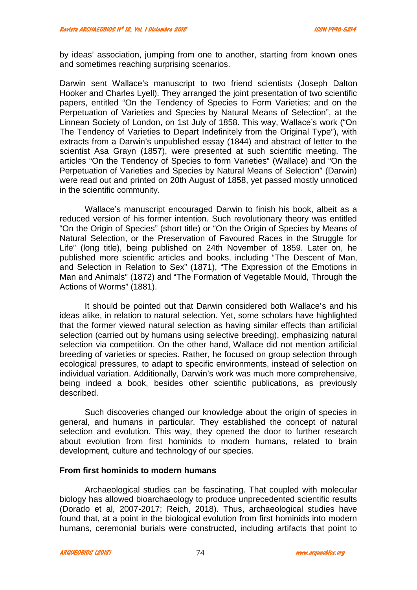by ideas' association, jumping from one to another, starting from known ones and sometimes reaching surprising scenarios.

Darwin sent Wallace's manuscript to two friend scientists (Joseph Dalton Hooker and Charles Lyell). They arranged the joint presentation of two scientific papers, entitled "On the Tendency of Species to Form Varieties; and on the Perpetuation of Varieties and Species by Natural Means of Selection", at the Linnean Society of London, on 1st July of 1858. This way, Wallace's work ("On The Tendency of Varieties to Depart Indefinitely from the Original Type"), with extracts from a Darwin's unpublished essay (1844) and abstract of letter to the scientist Asa Grayn (1857), were presented at such scientific meeting. The articles "On the Tendency of Species to form Varieties" (Wallace) and "On the Perpetuation of Varieties and Species by Natural Means of Selection" (Darwin) were read out and printed on 20th August of 1858, yet passed mostly unnoticed in the scientific community.

Wallace's manuscript encouraged Darwin to finish his book, albeit as a reduced version of his former intention. Such revolutionary theory was entitled "On the Origin of Species" (short title) or "On the Origin of Species by Means of Natural Selection, or the Preservation of Favoured Races in the Struggle for Life" (long title), being published on 24th November of 1859. Later on, he published more scientific articles and books, including "The Descent of Man, and Selection in Relation to Sex" (1871), "The Expression of the Emotions in Man and Animals" (1872) and "The Formation of Vegetable Mould, Through the Actions of Worms" (1881).

It should be pointed out that Darwin considered both Wallace's and his ideas alike, in relation to natural selection. Yet, some scholars have highlighted that the former viewed natural selection as having similar effects than artificial selection (carried out by humans using selective breeding), emphasizing natural selection via competition. On the other hand, Wallace did not mention artificial breeding of varieties or species. Rather, he focused on group selection through ecological pressures, to adapt to specific environments, instead of selection on individual variation. Additionally, Darwin's work was much more comprehensive, being indeed a book, besides other scientific publications, as previously described.

Such discoveries changed our knowledge about the origin of species in general, and humans in particular. They established the concept of natural selection and evolution. This way, they opened the door to further research about evolution from first hominids to modern humans, related to brain development, culture and technology of our species.

## **From first hominids to modern humans**

Archaeological studies can be fascinating. That coupled with molecular biology has allowed bioarchaeology to produce unprecedented scientific results (Dorado et al, 2007-2017; Reich, 2018). Thus, archaeological studies have found that, at a point in the biological evolution from first hominids into modern humans, ceremonial burials were constructed, including artifacts that point to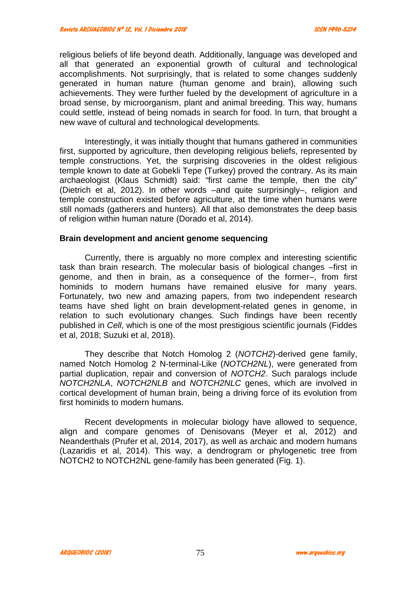religious beliefs of life beyond death. Additionally, language was developed and all that generated an exponential growth of cultural and technological accomplishments. Not surprisingly, that is related to some changes suddenly generated in human nature (human genome and brain), allowing such achievements. They were further fueled by the development of agriculture in a broad sense, by microorganism, plant and animal breeding. This way, humans could settle, instead of being nomads in search for food. In turn, that brought a new wave of cultural and technological developments.

Interestingly, it was initially thought that humans gathered in communities first, supported by agriculture, then developing religious beliefs, represented by temple constructions. Yet, the surprising discoveries in the oldest religious temple known to date at Gobekli Tepe (Turkey) proved the contrary. As its main archaeologist (Klaus Schmidt) said: "first came the temple, then the city" (Dietrich et al, 2012). In other words –and quite surprisingly–, religion and temple construction existed before agriculture, at the time when humans were still nomads (gatherers and hunters). All that also demonstrates the deep basis of religion within human nature (Dorado et al, 2014).

#### **Brain development and ancient genome sequencing**

Currently, there is arguably no more complex and interesting scientific task than brain research. The molecular basis of biological changes –first in genome, and then in brain, as a consequence of the former–, from first hominids to modern humans have remained elusive for many years. Fortunately, two new and amazing papers, from two independent research teams have shed light on brain development-related genes in genome, in relation to such evolutionary changes. Such findings have been recently published in *Cell*, which is one of the most prestigious scientific journals (Fiddes et al, 2018; Suzuki et al, 2018).

They describe that Notch Homolog 2 (*NOTCH2*)-derived gene family, named Notch Homolog 2 N-terminal-Like (*NOTCH2NL*), were generated from partial duplication, repair and conversion of *NOTCH2*. Such paralogs include *NOTCH2NLA*, *NOTCH2NLB* and *NOTCH2NLC* genes, which are involved in cortical development of human brain, being a driving force of its evolution from first hominids to modern humans.

Recent developments in molecular biology have allowed to sequence, align and compare genomes of Denisovans (Meyer et al, 2012) and Neanderthals (Prufer et al, 2014, 2017), as well as archaic and modern humans (Lazaridis et al, 2014). This way, a dendrogram or phylogenetic tree from NOTCH2 to NOTCH2NL gene-family has been generated (Fig. 1).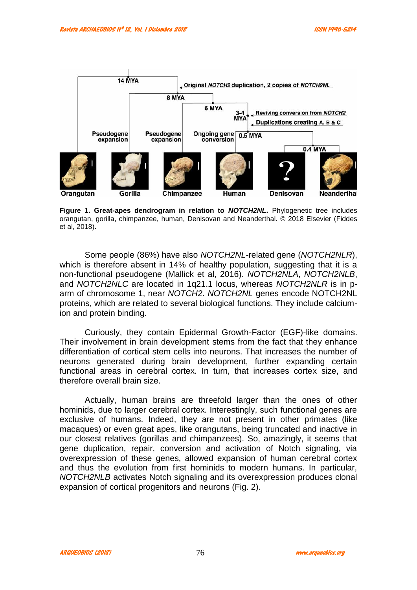

**Figure 1. Great-apes dendrogram in relation to** *NOTCH2NL***.** Phylogenetic tree includes orangutan, gorilla, chimpanzee, human, Denisovan and Neanderthal. © 2018 Elsevier (Fiddes et al, 2018).

Some people (86%) have also *NOTCH2NL*-related gene (*NOTCH2NLR*), which is therefore absent in 14% of healthy population, suggesting that it is a non-functional pseudogene (Mallick et al, 2016). *NOTCH2NLA*, *NOTCH2NLB*, and *NOTCH2NLC* are located in 1q21.1 locus, whereas *NOTCH2NLR* is in p arm of chromosome 1, near *NOTCH2*. *NOTCH2NL* genes encode NOTCH2NL proteins, which are related to several biological functions. They include calciumion and protein binding.

Curiously, they contain Epidermal Growth-Factor (EGF)-like domains. Their involvement in brain development stems from the fact that they enhance differentiation of cortical stem cells into neurons. That increases the number of neurons generated during brain development, further expanding certain functional areas in cerebral cortex. In turn, that increases cortex size, and therefore overall brain size.

Actually, human brains are threefold larger than the ones of other hominids, due to larger cerebral cortex. Interestingly, such functional genes are exclusive of humans. Indeed, they are not present in other primates (like macaques) or even great apes, like orangutans, being truncated and inactive in our closest relatives (gorillas and chimpanzees). So, amazingly, it seems that gene duplication, repair, conversion and activation of Notch signaling, via overexpression of these genes, allowed expansion of human cerebral cortex and thus the evolution from first hominids to modern humans. In particular, *NOTCH2NLB* activates Notch signaling and its overexpression produces clonal expansion of cortical progenitors and neurons (Fig. 2).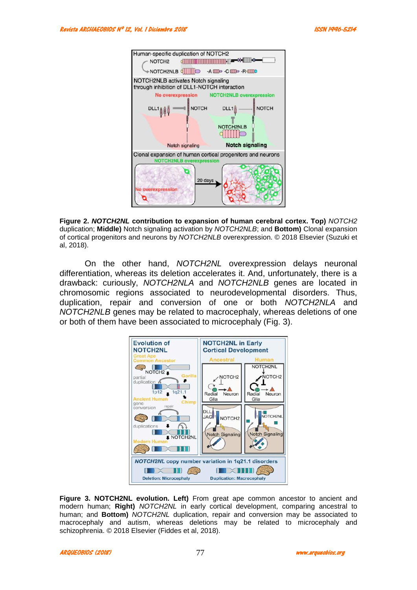

**Figure 2.** *NOTCH2NL* **contribution to expansion of human cerebral cortex. Top)** *NOTCH2* duplication; **Middle)** Notch signaling activation by *NOTCH2NLB*; and **Bottom)** Clonal expansion of cortical progenitors and neurons by *NOTCH2NLB* overexpression. © 2018 Elsevier (Suzuki et al, 2018).

On the other hand, *NOTCH2NL* overexpression delays neuronal differentiation, whereas its deletion accelerates it. And, unfortunately, there is a drawback: curiously, *NOTCH2NLA* and *NOTCH2NLB* genes are located in chromosomic regions associated to neurodevelopmental disorders. Thus, duplication, repair and conversion of one or both *NOTCH2NLA* and *NOTCH2NLB* genes may be related to macrocephaly, whereas deletions of one or both of them have been associated to microcephaly (Fig. 3).



**Figure 3. NOTCH2NL evolution. Left)** From great ape common ancestor to ancient and modern human; **Right)** *NOTCH2NL* in early cortical development, comparing ancestral to human; and **Bottom)** *NOTCH2NL* duplication, repair and conversion may be associated to macrocephaly and autism, whereas deletions may be related to microcephaly and schizophrenia. © 2018 Elsevier (Fiddes et al, 2018).

*ARQUEOBIOS (2018) www.arqueobios.org* 77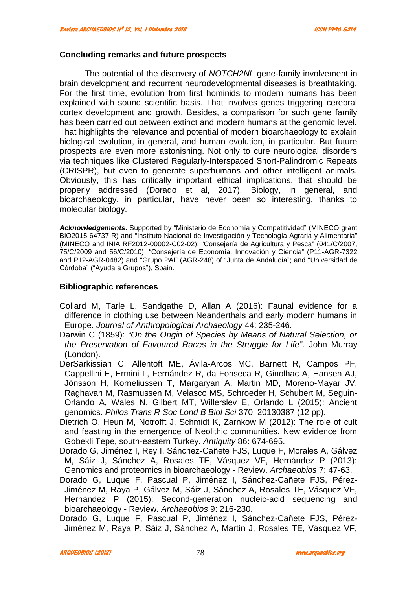## **Concluding remarks and future prospects**

The potential of the discovery of *NOTCH2NL* gene-family involvement in brain development and recurrent neurodevelopmental diseases is breathtaking. For the first time, evolution from first hominids to modern humans has been explained with sound scientific basis. That involves genes triggering cerebral cortex development and growth. Besides, a comparison for such gene family has been carried out between extinct and modern humans at the genomic level. That highlights the relevance and potential of modern bioarchaeology to explain biological evolution, in general, and human evolution, in particular. But future prospects are even more astonishing. Not only to cure neurological disorders via techniques like Clustered Regularly-Interspaced Short-Palindromic Repeats (CRISPR), but even to generate superhumans and other intelligent animals. Obviously, this has critically important ethical implications, that should be properly addressed (Dorado et al, 2017). Biology, in general, and bioarchaeology, in particular, have never been so interesting, thanks to molecular biology.

*Acknowledgements***.** Supported by "Ministerio de Economía y Competitividad" (MINECO grant BIO2015-64737-R) and "Instituto Nacional de Investigación y Tecnología Agraria y Alimentaria" (MINECO and INIA RF2012-00002-C02-02); "Consejería de Agricultura y Pesca" (041/C/2007, 75/C/2009 and 56/C/2010), "Consejería de Economía, Innovación y Ciencia" (P11-AGR-7322 and P12-AGR-0482) and "Grupo PAI" (AGR-248) of "Junta de Andalucía"; and "Universidad de Córdoba" ("Ayuda a Grupos"), Spain.

## **Bibliographic references**

- Collard M, Tarle L, Sandgathe D, Allan A (2016): Faunal evidence for a difference in clothing use between Neanderthals and early modern humans in Europe. *Journal of Anthropological Archaeology* 44: 235-246.
- Darwin C (1859): *"On the Origin of Species by Means of Natural Selection, or the Preservation of Favoured Races in the Struggle for Life"*. John Murray (London).
- DerSarkissian C, Allentoft ME, Ávila-Arcos MC, Barnett R, Campos PF, Cappellini E, Ermini L, Fernández R, da Fonseca R, Ginolhac A, Hansen AJ, Jónsson H, Korneliussen T, Margaryan A, Martin MD, Moreno-Mayar JV, Raghavan M, Rasmussen M, Velasco MS, Schroeder H, Schubert M, Seguin- Orlando A, Wales N, Gilbert MT, Willerslev E, Orlando L (2015): Ancient genomics. *Philos Trans R Soc Lond B Biol Sci* 370: 20130387 (12 pp).
- Dietrich O, Heun M, Notrofft J, Schmidt K, Zarnkow M (2012): The role of cult and feasting in the emergence of Neolithic communities. New evidence from Gobekli Tepe, south-eastern Turkey. *Antiquity* 86: 674-695.
- Dorado G, Jiménez I, Rey I, Sánchez-Cañete FJS, Luque F, Morales A, Gálvez M, Sáiz J, Sánchez A, Rosales TE, Vásquez VF, Hernández P (2013): Genomics and proteomics in bioarchaeology - Review. *Archaeobios* 7: 47-63.
- Dorado G, Luque F, Pascual P, Jiménez I, Sánchez-Cañete FJS, Pérez- Jiménez M, Raya P, Gálvez M, Sáiz J, Sánchez A, Rosales TE, Vásquez VF, Hernández P (2015): Second-generation nucleic-acid sequencing and bioarchaeology - Review. *Archaeobios* 9: 216-230.
- Dorado G, Luque F, Pascual P, Jiménez I, Sánchez-Cañete FJS, Pérez- Jiménez M, Raya P, Sáiz J, Sánchez A, Martín J, Rosales TE, Vásquez VF,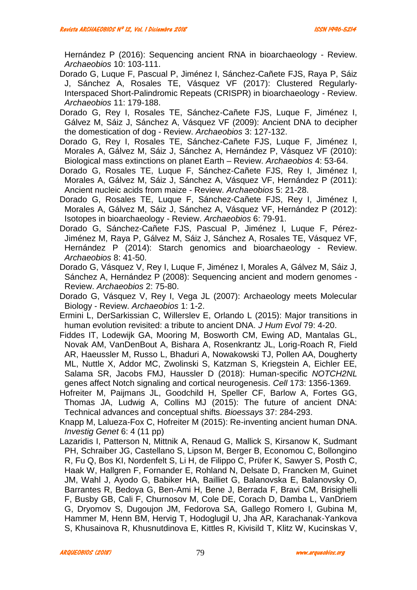Hernández P (2016): Sequencing ancient RNA in bioarchaeology - Review. *Archaeobios* 10: 103-111.

- Dorado G, Luque F, Pascual P, Jiménez I, Sánchez-Cañete FJS, Raya P, Sáiz J, Sánchez A, Rosales TE, Vásquez VF (2017): Clustered Regularly-Interspaced Short-Palindromic Repeats (CRISPR) in bioarchaeology - Review. *Archaeobios* 11: 179-188.
- Dorado G, Rey I, Rosales TE, Sánchez-Cañete FJS, Luque F, Jiménez I, Gálvez M, Sáiz J, Sánchez A, Vásquez VF (2009): Ancient DNA to decipher the domestication of dog - Review. *Archaeobios* 3: 127-132.
- Dorado G, Rey I, Rosales TE, Sánchez-Cañete FJS, Luque F, Jiménez I, Morales A, Gálvez M, Sáiz J, Sánchez A, Hernández P, Vásquez VF (2010): Biological mass extinctions on planet Earth – Review. *Archaeobios* 4: 53-64.
- Dorado G, Rosales TE, Luque F, Sánchez-Cañete FJS, Rey I, Jiménez I, Morales A, Gálvez M, Sáiz J, Sánchez A, Vásquez VF, Hernández P (2011): Ancient nucleic acids from maize - Review. *Archaeobios* 5: 21-28.
- Dorado G, Rosales TE, Luque F, Sánchez-Cañete FJS, Rey I, Jiménez I, Morales A, Gálvez M, Sáiz J, Sánchez A, Vásquez VF, Hernández P (2012): Isotopes in bioarchaeology - Review. *Archaeobios* 6: 79-91.
- Dorado G, Sánchez-Cañete FJS, Pascual P, Jiménez I, Luque F, Pérez- Jiménez M, Raya P, Gálvez M, Sáiz J, Sánchez A, Rosales TE, Vásquez VF, Hernández P (2014): Starch genomics and bioarchaeology - Review. *Archaeobios* 8: 41-50.
- Dorado G, Vásquez V, Rey I, Luque F, Jiménez I, Morales A, Gálvez M, Sáiz J, Sánchez A, Hernández P (2008): Sequencing ancient and modern genomes - Review. *Archaeobios* 2: 75-80.
- Dorado G, Vásquez V, Rey I, Vega JL (2007): Archaeology meets Molecular Biology - Review. *Archaeobios* 1: 1-2.
- Ermini L, DerSarkissian C, Willerslev E, Orlando L (2015): Major transitions in human evolution revisited: a tribute to ancient DNA. *J Hum Evol* 79: 4-20.
- Fiddes IT, Lodewijk GA, Mooring M, Bosworth CM, Ewing AD, Mantalas GL, Novak AM, VanDenBout A, Bishara A, Rosenkrantz JL, Lorig-Roach R, Field AR, Haeussler M, Russo L, Bhaduri A, Nowakowski TJ, Pollen AA, Dougherty ML, Nuttle X, Addor MC, Zwolinski S, Katzman S, Kriegstein A, Eichler EE, Salama SR, Jacobs FMJ, Haussler D (2018): Human-specific *NOTCH2NL* genes affect Notch signaling and cortical neurogenesis. *Cell* 173: 1356-1369.
- Hofreiter M, Paijmans JL, Goodchild H, Speller CF, Barlow A, Fortes GG, Thomas JA, Ludwig A, Collins MJ (2015): The future of ancient DNA: Technical advances and conceptual shifts. *Bioessays* 37: 284-293.
- Knapp M, Lalueza-Fox C, Hofreiter M (2015): Re-inventing ancient human DNA. *Investig Genet* 6: 4 (11 pp)
- Lazaridis I, Patterson N, Mittnik A, Renaud G, Mallick S, Kirsanow K, Sudmant PH, Schraiber JG, Castellano S, Lipson M, Berger B, Economou C, Bollongino R, Fu Q, Bos KI, Nordenfelt S, Li H, de Filippo C, Pr fer K, Sawyer S, Posth C, Haak W, Hallgren F, Fornander E, Rohland N, Delsate D, Francken M, Guinet JM, Wahl J, Ayodo G, Babiker HA, Bailliet G, Balanovska E, Balanovsky O, Barrantes R, Bedoya G, Ben-Ami H, Bene J, Berrada F, Bravi CM, Brisighelli F, Busby GB, Cali F, Churnosov M, Cole DE, Corach D, Damba L, VanDriem G, Dryomov S, Dugoujon JM, Fedorova SA, Gallego Romero I, Gubina M, Hammer M, Henn BM, Hervig T, Hodoglugil U, Jha AR, Karachanak-Yankova S, Khusainova R, Khusnutdinova E, Kittles R, Kivisild T, Klitz W, Kucinskas V,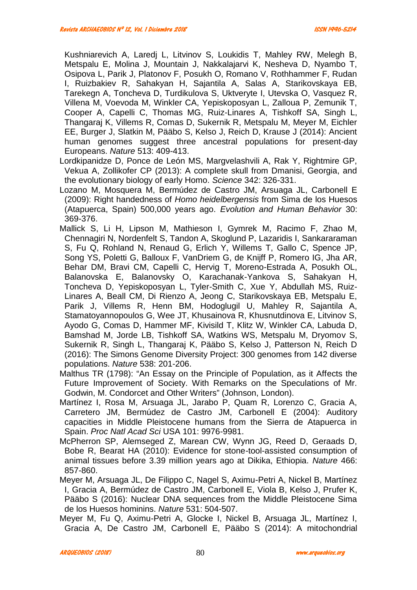Kushniarevich A, Laredj L, Litvinov S, Loukidis T, Mahley RW, Melegh B, Metspalu E, Molina J, Mountain J, Nakkalajarvi K, Nesheva D, Nyambo T, Osipova L, Parik J, Platonov F, Posukh O, Romano V, Rothhammer F, Rudan I, Ruizbakiev R, Sahakyan H, Sajantila A, Salas A, Starikovskaya EB, Tarekegn A, Toncheva D, Turdikulova S, Uktveryte I, Utevska O, Vasquez R, Villena M, Voevoda M, Winkler CA, Yepiskoposyan L, Zalloua P, Zemunik T, Cooper A, Capelli C, Thomas MG, Ruiz-Linares A, Tishkoff SA, Singh L, Thangaraj K, Villems R, Comas D, Sukernik R, Metspalu M, Meyer M, Eichler EE, Burger J, Slatkin M, Pääbo S, Kelso J, Reich D, Krause J (2014): Ancient human genomes suggest three ancestral populations for present-day Europeans. *Nature* 513: 409-413.

- Lordkipanidze D, Ponce de León MS, Margvelashvili A, Rak Y, Rightmire GP, Vekua A, Zollikofer CP (2013): A complete skull from Dmanisi, Georgia, and the evolutionary biology of early Homo. *Science* 342: 326-331.
- Lozano M, Mosquera M, Bermúdez de Castro JM, Arsuaga JL, Carbonell E (2009): Right handedness of *Homo heidelbergensis* from Sima de los Huesos (Atapuerca, Spain) 500,000 years ago. *Evolution and Human Behavior* 30: 369-376.
- Mallick S, Li H, Lipson M, Mathieson I, Gymrek M, Racimo F, Zhao M, Chennagiri N, Nordenfelt S, Tandon A, Skoglund P, Lazaridis I, Sankararaman S, Fu Q, Rohland N, Renaud G, Erlich Y, Willems T, Gallo C, Spence JP, Song YS, Poletti G, Balloux F, VanDriem G, de Knijff P, Romero IG, Jha AR, Behar DM, Bravi CM, Capelli C, Hervig T, Moreno-Estrada A, Posukh OL, Balanovska E, Balanovsky O, Karachanak-Yankova S, Sahakyan H, Toncheva D, Yepiskoposyan L, Tyler-Smith C, Xue Y, Abdullah MS, Ruiz- Linares A, Beall CM, Di Rienzo A, Jeong C, Starikovskaya EB, Metspalu E, Parik J, Villems R, Henn BM, Hodoglugil U, Mahley R, Sajantila A, Stamatoyannopoulos G, Wee JT, Khusainova R, Khusnutdinova E, Litvinov S, Ayodo G, Comas D, Hammer MF, Kivisild T, Klitz W, Winkler CA, Labuda D, Bamshad M, Jorde LB, Tishkoff SA, Watkins WS, Metspalu M, Dryomov S, Sukernik R, Singh L, Thangaraj K, Pääbo S, Kelso J, Patterson N, Reich D (2016): The Simons Genome Diversity Project: 300 genomes from 142 diverse populations. *Nature* 538: 201-206.
- Malthus TR (1798): "An Essay on the Principle of Population, as it Affects the Future Improvement of Society. With Remarks on the Speculations of Mr. Godwin, M. Condorcet and Other Writers" (Johnson, London).
- Martínez I, Rosa M, Arsuaga JL, Jarabo P, Quam R, Lorenzo C, Gracia A, Carretero JM, Bermúdez de Castro JM, Carbonell E (2004): Auditory capacities in Middle Pleistocene humans from the Sierra de Atapuerca in Spain. *Proc Natl Acad Sci* USA 101: 9976-9981.
- McPherron SP, Alemseged Z, Marean CW, Wynn JG, Reed D, Geraads D, Bobe R, Bearat HA (2010): Evidence for stone-tool-assisted consumption of animal tissues before 3.39 million years ago at Dikika, Ethiopia. *Nature* 466: 857-860.
- Meyer M, Arsuaga JL, De Filippo C, Nagel S, Aximu-Petri A, Nickel B, Martínez I, Gracia A, Bermúdez de Castro JM, Carbonell E, Viola B, Kelso J, Prufer K, Pääbo S (2016): Nuclear DNA sequences from the Middle Pleistocene Sima de los Huesos hominins. *Nature* 531: 504-507.
- Meyer M, Fu Q, Aximu-Petri A, Glocke I, Nickel B, Arsuaga JL, Martínez I, Gracia A, De Castro JM, Carbonell E, Pääbo S (2014): A mitochondrial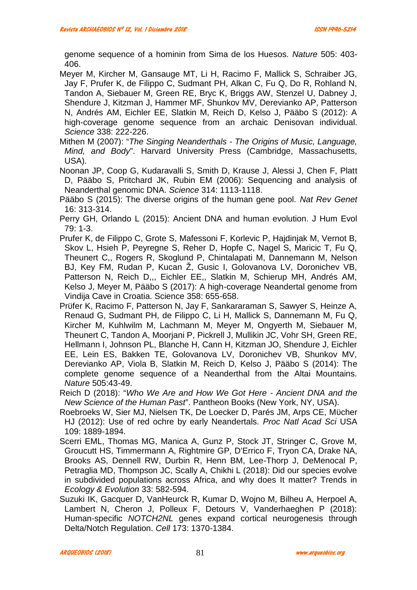genome sequence of a hominin from Sima de los Huesos. *Nature* 505: 403- 406.

Meyer M, Kircher M, Gansauge MT, Li H, Racimo F, Mallick S, Schraiber JG, Jay F, Prufer K, de Filippo C, Sudmant PH, Alkan C, Fu Q, Do R, Rohland N, Tandon A, Siebauer M, Green RE, Bryc K, Briggs AW, Stenzel U, Dabney J, Shendure J, Kitzman J, Hammer MF, Shunkov MV, Derevianko AP, Patterson N, Andrés AM, Eichler EE, Slatkin M, Reich D, Kelso J, Pääbo S (2012): A high-coverage genome sequence from an archaic Denisovan individual. *Science* 338: 222-226.

Mithen M (2007): "*The Singing Neanderthals - The Origins of Music, Language, Mind, and Body*". Harvard University Press (Cambridge, Massachusetts, USA).

Noonan JP, Coop G, Kudaravalli S, Smith D, Krause J, Alessi J, Chen F, Platt D, Pääbo S, Pritchard JK, Rubin EM (2006): Sequencing and analysis of Neanderthal genomic DNA. *Science* 314: 1113-1118.

Pääbo S (2015): The diverse origins of the human gene pool. *Nat Rev Genet* 16: 313-314.

Perry GH, Orlando L (2015): Ancient DNA and human evolution. J Hum Evol 79: 1-3.

Prufer K, de Filippo C, Grote S, Mafessoni F, Korlevic P, Hajdinjak M, Vernot B, Skov L, Hsieh P, Peyregne S, Reher D, Hopfe C, Nagel S, Maricic T, Fu Q, Theunert C,, Rogers R, Skoglund P, Chintalapati M, Dannemann M, Nelson BJ, Key FM, Rudan P, Kucan Ž, Gusic I, Golovanova LV, Doronichev VB, Patterson N, Reich D,,, Eichler EE,, Slatkin M, Schierup MH, Andrés AM, Kelso J, Meyer M, Pääbo S (2017): A high-coverage Neandertal genome from Vindija Cave in Croatia. Science 358: 655-658.

Pr fer K, Racimo F, Patterson N, Jay F, Sankararaman S, Sawyer S, Heinze A, Renaud G, Sudmant PH, de Filippo C, Li H, Mallick S, Dannemann M, Fu Q, Kircher M, Kuhlwilm M, Lachmann M, Meyer M, Ongyerth M, Siebauer M, Theunert C, Tandon A, Moorjani P, Pickrell J, Mullikin JC, Vohr SH, Green RE, Hellmann I, Johnson PL, Blanche H, Cann H, Kitzman JO, Shendure J, Eichler EE, Lein ES, Bakken TE, Golovanova LV, Doronichev VB, Shunkov MV, Derevianko AP, Viola B, Slatkin M, Reich D, Kelso J, Pääbo S (2014): The complete genome sequence of a Neanderthal from the Altai Mountains. *Nature* 505:43-49.

Reich D (2018): "*Who We Are and How We Got Here - Ancient DNA and the New Science of the Human Past*". Pantheon Books (New York, NY, USA).

Roebroeks W, Sier MJ, Nielsen TK, De Loecker D, Parés JM, Arps CE, M cher HJ (2012): Use of red ochre by early Neandertals. *Proc Natl Acad Sci* USA 109: 1889-1894.

Scerri EML, Thomas MG, Manica A, Gunz P, Stock JT, Stringer C, Grove M, Groucutt HS, Timmermann A, Rightmire GP, D'Errico F, Tryon CA, Drake NA, Brooks AS, Dennell RW, Durbin R, Henn BM, Lee-Thorp J, DeMenocal P, Petraglia MD, Thompson JC, Scally A, Chikhi L (2018): Did our species evolve in subdivided populations across Africa, and why does It matter? Trends in *Ecology & Evolution* 33: 582-594.

Suzuki IK, Gacquer D, VanHeurck R, Kumar D, Wojno M, Bilheu A, Herpoel A, Lambert N, Cheron J, Polleux F, Detours V, Vanderhaeghen P (2018): Human-specific *NOTCH2NL* genes expand cortical neurogenesis through Delta/Notch Regulation. *Cell* 173: 1370-1384.